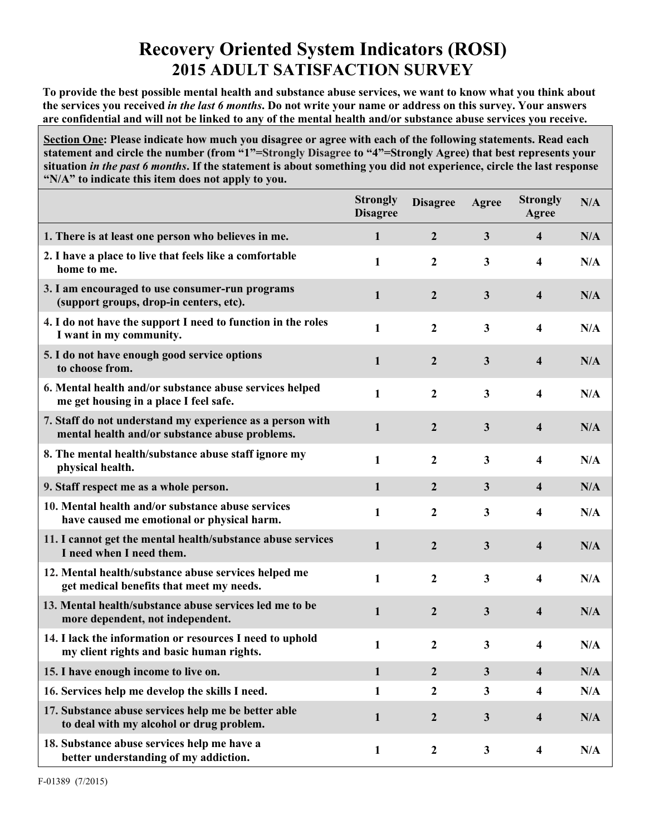## **Recovery Oriented System Indicators (ROSI) 2015 ADULT SATISFACTION SURVEY**

**To provide the best possible mental health and substance abuse services, we want to know what you think about the services you received** *in the last 6 months***. Do not write your name or address on this survey. Your answers are confidential and will not be linked to any of the mental health and/or substance abuse services you receive.**

**Section One: Please indicate how much you disagree or agree with each of the following statements. Read each statement and circle the number (from "1"=Strongly Disagree to "4"=Strongly Agree) that best represents your situation** *in the past 6 months***. If the statement is about something you did not experience, circle the last response "N/A" to indicate this item does not apply to you.**

|                                                                                                             | <b>Strongly</b><br><b>Disagree</b> | <b>Disagree</b>  | Agree        | <b>Strongly</b><br>Agree | N/A |
|-------------------------------------------------------------------------------------------------------------|------------------------------------|------------------|--------------|--------------------------|-----|
| 1. There is at least one person who believes in me.                                                         | 1                                  | $\overline{2}$   | $\mathbf{3}$ | $\overline{\mathbf{4}}$  | N/A |
| 2. I have a place to live that feels like a comfortable<br>home to me.                                      | 1                                  | 2                | $\mathbf{3}$ | 4                        | N/A |
| 3. I am encouraged to use consumer-run programs<br>(support groups, drop-in centers, etc).                  | 1                                  | $\boldsymbol{2}$ | $\mathbf{3}$ | $\overline{\mathbf{4}}$  | N/A |
| 4. I do not have the support I need to function in the roles<br>I want in my community.                     | 1                                  | $\overline{2}$   | 3            | 4                        | N/A |
| 5. I do not have enough good service options<br>to choose from.                                             | 1                                  | $\boldsymbol{2}$ | $\mathbf{3}$ | $\overline{\mathbf{4}}$  | N/A |
| 6. Mental health and/or substance abuse services helped<br>me get housing in a place I feel safe.           | 1                                  | $\mathbf{2}$     | $\mathbf{3}$ | 4                        | N/A |
| 7. Staff do not understand my experience as a person with<br>mental health and/or substance abuse problems. | 1                                  | $\overline{2}$   | $\mathbf{3}$ | 4                        | N/A |
| 8. The mental health/substance abuse staff ignore my<br>physical health.                                    | 1                                  | $\mathbf{2}$     | 3            | 4                        | N/A |
| 9. Staff respect me as a whole person.                                                                      | 1                                  | $\overline{2}$   | $\mathbf{3}$ | 4                        | N/A |
| 10. Mental health and/or substance abuse services<br>have caused me emotional or physical harm.             | 1                                  | $\mathbf{2}$     | 3            | 4                        | N/A |
| 11. I cannot get the mental health/substance abuse services<br>I need when I need them.                     | $\mathbf{1}$                       | $\overline{2}$   | $\mathbf{3}$ | 4                        | N/A |
| 12. Mental health/substance abuse services helped me<br>get medical benefits that meet my needs.            | 1                                  | $\mathbf{2}$     | 3            | 4                        | N/A |
| 13. Mental health/substance abuse services led me to be<br>more dependent, not independent.                 | 1                                  | $\overline{2}$   | $\mathbf{3}$ | $\overline{\mathbf{4}}$  | N/A |
| 14. I lack the information or resources I need to uphold<br>my client rights and basic human rights.        | 1                                  | $\boldsymbol{2}$ | $\mathbf{3}$ | 4                        | N/A |
| 15. I have enough income to live on.                                                                        | 1                                  | $\mathbf{2}$     | 3            | 4                        | N/A |
| 16. Services help me develop the skills I need.                                                             | 1                                  | 2                | 3            | 4                        | N/A |
| 17. Substance abuse services help me be better able<br>to deal with my alcohol or drug problem.             | 1                                  | $\boldsymbol{2}$ | $\mathbf{3}$ | $\overline{\mathbf{4}}$  | N/A |
| 18. Substance abuse services help me have a<br>better understanding of my addiction.                        | 1                                  | $\boldsymbol{2}$ | $\mathbf{3}$ | $\overline{\mathbf{4}}$  | N/A |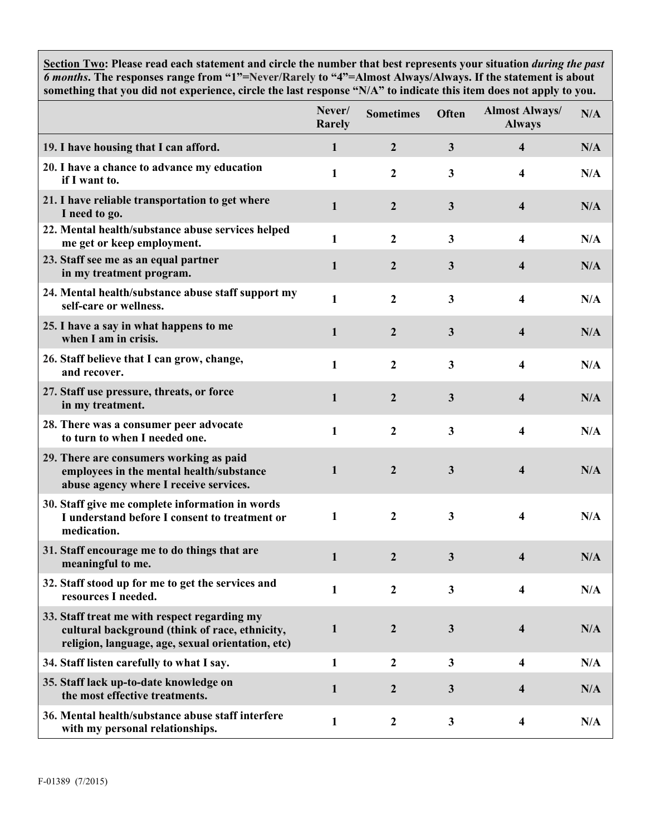**Section Two: Please read each statement and circle the number that best represents your situation** *during the past 6 months***. The responses range from "1"=Never/Rarely to "4"=Almost Always/Always. If the statement is about something that you did not experience, circle the last response "N/A" to indicate this item does not apply to you.**

|                                                                                                                                                     | Never/<br>Rarely | <b>Sometimes</b> | Often                   | <b>Almost Always/</b><br><b>Always</b> | N/A |
|-----------------------------------------------------------------------------------------------------------------------------------------------------|------------------|------------------|-------------------------|----------------------------------------|-----|
| 19. I have housing that I can afford.                                                                                                               | $\mathbf{1}$     | $\overline{2}$   | $\overline{3}$          | $\overline{\mathbf{4}}$                | N/A |
| 20. I have a chance to advance my education<br>if I want to.                                                                                        | $\mathbf{1}$     | $\boldsymbol{2}$ | $\overline{\mathbf{3}}$ | 4                                      | N/A |
| 21. I have reliable transportation to get where<br>I need to go.                                                                                    | $\mathbf{1}$     | $\mathbf{2}$     | 3                       | $\overline{\mathbf{4}}$                | N/A |
| 22. Mental health/substance abuse services helped<br>me get or keep employment.                                                                     | 1                | $\boldsymbol{2}$ | $\overline{\mathbf{3}}$ | 4                                      | N/A |
| 23. Staff see me as an equal partner<br>in my treatment program.                                                                                    | $\mathbf{1}$     | $\mathbf{2}$     | 3                       | 4                                      | N/A |
| 24. Mental health/substance abuse staff support my<br>self-care or wellness.                                                                        | 1                | $\mathbf{2}$     | 3                       | 4                                      | N/A |
| 25. I have a say in what happens to me<br>when I am in crisis.                                                                                      | $\mathbf{1}$     | $\overline{2}$   | 3                       | $\overline{\mathbf{4}}$                | N/A |
| 26. Staff believe that I can grow, change,<br>and recover.                                                                                          | $\mathbf{1}$     | $\mathbf{2}$     | $\overline{\mathbf{3}}$ | 4                                      | N/A |
| 27. Staff use pressure, threats, or force<br>in my treatment.                                                                                       | $\mathbf{1}$     | $\mathbf{2}$     | 3                       | 4                                      | N/A |
| 28. There was a consumer peer advocate<br>to turn to when I needed one.                                                                             | $\mathbf{1}$     | $\mathbf{2}$     | $\overline{\mathbf{3}}$ | 4                                      | N/A |
| 29. There are consumers working as paid<br>employees in the mental health/substance<br>abuse agency where I receive services.                       | $\mathbf{1}$     | $\overline{2}$   | 3                       | 4                                      | N/A |
| 30. Staff give me complete information in words<br>I understand before I consent to treatment or<br>medication.                                     | $\mathbf{1}$     | $\boldsymbol{2}$ | 3                       | 4                                      | N/A |
| 31. Staff encourage me to do things that are<br>meaningful to me.                                                                                   | $\mathbf{1}$     | $\boldsymbol{2}$ | 3                       | 4                                      | N/A |
| 32. Staff stood up for me to get the services and<br>resources I needed.                                                                            | 1                | 2                | 3                       | 4                                      | N/A |
| 33. Staff treat me with respect regarding my<br>cultural background (think of race, ethnicity,<br>religion, language, age, sexual orientation, etc) | $\mathbf{1}$     | $\overline{2}$   | 3                       | $\overline{\mathbf{4}}$                | N/A |
| 34. Staff listen carefully to what I say.                                                                                                           | $\mathbf{1}$     | $\boldsymbol{2}$ | $\mathbf{3}$            | 4                                      | N/A |
| 35. Staff lack up-to-date knowledge on<br>the most effective treatments.                                                                            | $\mathbf{1}$     | $\boldsymbol{2}$ | $\mathbf{3}$            | 4                                      | N/A |
| 36. Mental health/substance abuse staff interfere<br>with my personal relationships.                                                                | 1                | $\boldsymbol{2}$ | $\mathbf{3}$            | $\overline{\mathbf{4}}$                | N/A |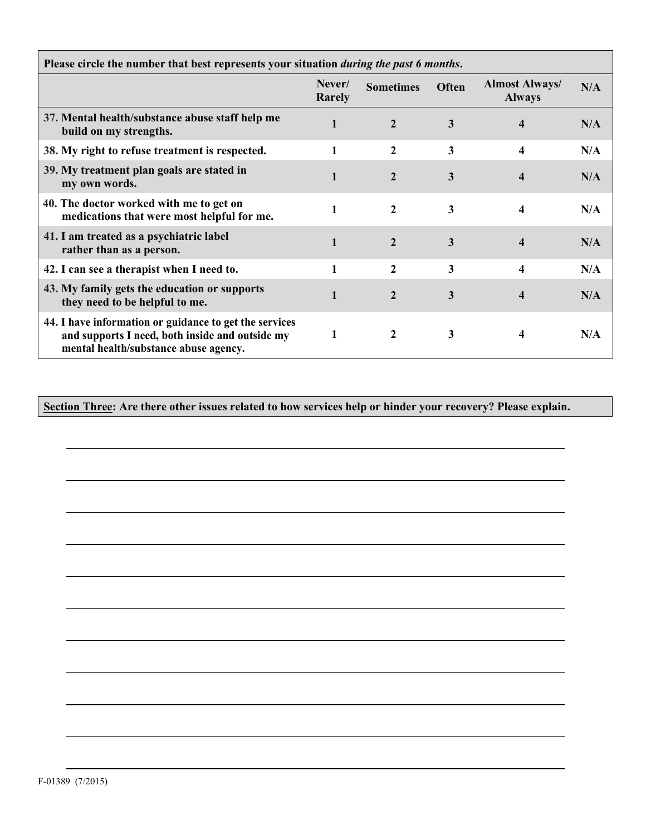| Please circle the number that best represents your situation <i>during the past 6 months</i> .                                                     |                  |                  |              |                                        |     |  |
|----------------------------------------------------------------------------------------------------------------------------------------------------|------------------|------------------|--------------|----------------------------------------|-----|--|
|                                                                                                                                                    | Never/<br>Rarely | <b>Sometimes</b> | <b>Often</b> | <b>Almost Always/</b><br><b>Always</b> | N/A |  |
| 37. Mental health/substance abuse staff help me<br>build on my strengths.                                                                          | 1                |                  | 3            |                                        | N/A |  |
| 38. My right to refuse treatment is respected.                                                                                                     |                  | 2                | 3            | 4                                      | N/A |  |
| 39. My treatment plan goals are stated in<br>my own words.                                                                                         |                  | $\mathbf{2}$     | 3            |                                        | N/A |  |
| 40. The doctor worked with me to get on<br>medications that were most helpful for me.                                                              |                  | 2                | 3            |                                        | N/A |  |
| 41. I am treated as a psychiatric label<br>rather than as a person.                                                                                |                  | $\mathbf{2}$     | 3            |                                        | N/A |  |
| 42. I can see a therapist when I need to.                                                                                                          | 1                | 2                | 3            | 4                                      | N/A |  |
| 43. My family gets the education or supports<br>they need to be helpful to me.                                                                     |                  | $\mathbf{2}$     | 3            |                                        | N/A |  |
| 44. I have information or guidance to get the services<br>and supports I need, both inside and outside my<br>mental health/substance abuse agency. |                  |                  | 3            |                                        | N/A |  |

 $\overline{\phantom{0}}$ 

**Section Three: Are there other issues related to how services help or hinder your recovery? Please explain.**